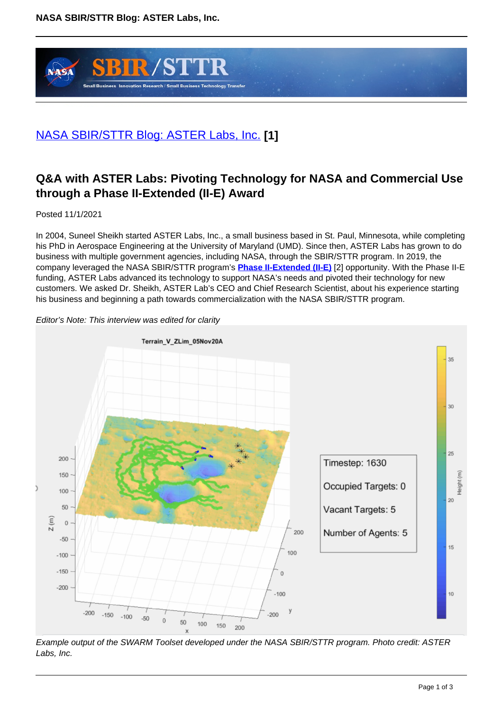

# [NASA SBIR/STTR Blog: ASTER Labs, Inc.](https://sbir.gsfc.nasa.gov/blog/11012021) **[1]**

# **Q&A with ASTER Labs: Pivoting Technology for NASA and Commercial Use through a Phase II-Extended (II-E) Award**

Posted 11/1/2021

In 2004, Suneel Sheikh started ASTER Labs, Inc., a small business based in St. Paul, Minnesota, while completing his PhD in Aerospace Engineering at the University of Maryland (UMD). Since then, ASTER Labs has grown to do business with multiple government agencies, including NASA, through the SBIR/STTR program. In 2019, the company leveraged the NASA SBIR/STTR program's **Phase II-Extended (II-E)** [2] opportunity. With the Phase II-E funding, ASTER Labs advanced its technology to support NASA's needs and pivoted their technology for new customers. We asked Dr. Sheikh, ASTER Lab's CEO and Chief Research Scientist, about his experience starting his business and beginning a path towards commercialization with the NASA SBIR/STTR program.





Example output of the SWARM Toolset developed under the NASA SBIR/STTR program. Photo credit: ASTER Labs, Inc.